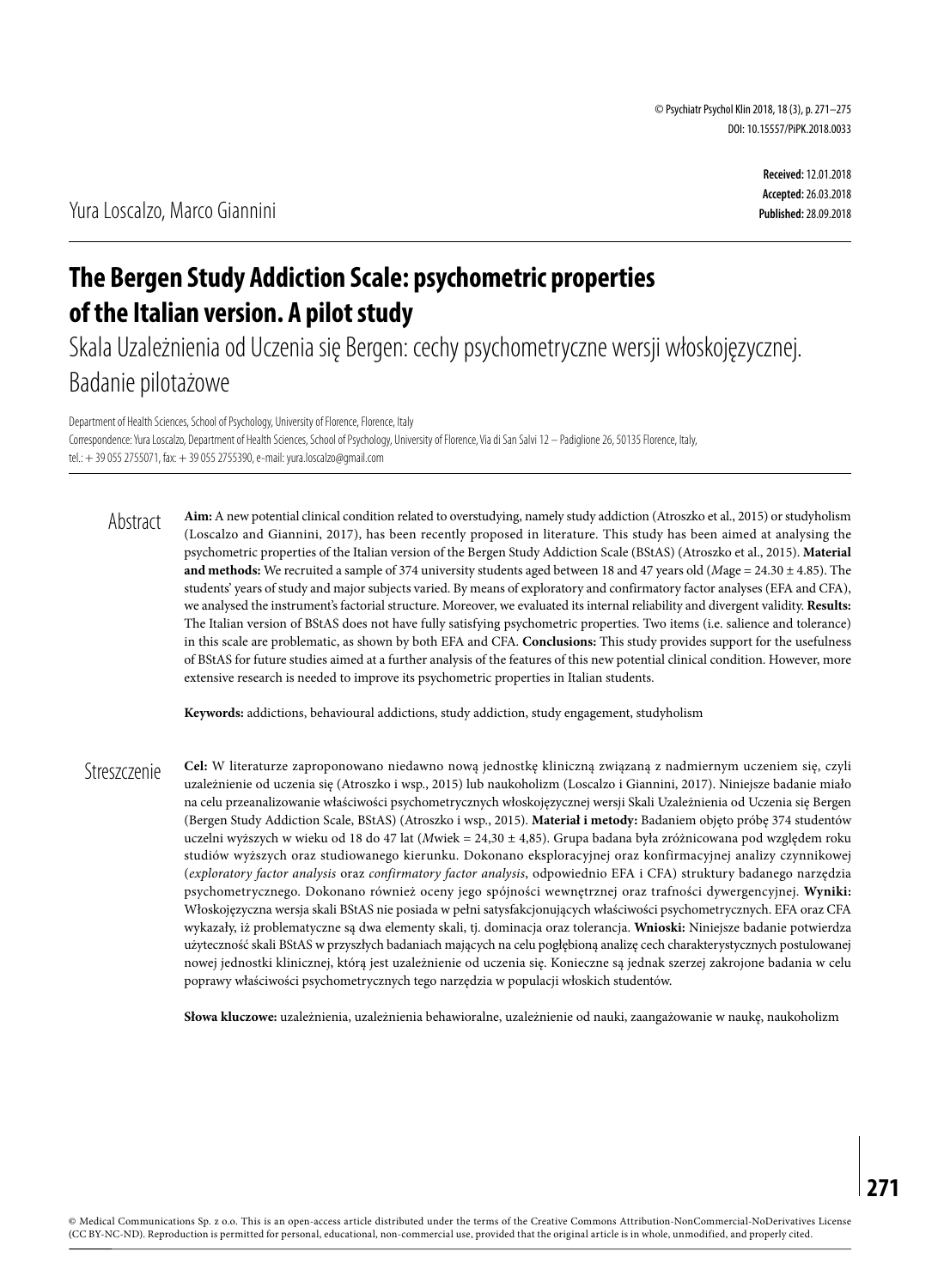**Received:** 12.01.2018 **Accepted:** 26.03.2018 **Published:** 28.09.2018

# **The Bergen Study Addiction Scale: psychometric properties of the Italian version. A pilot study**

Skala Uzależnienia od Uczenia się Bergen: cechy psychometryczne wersji włoskojęzycznej. Badanie pilotażowe

Department of Health Sciences, School of Psychology, University of Florence, Florence, Italy Correspondence: Yura Loscalzo, Department of Health Sciences, School of Psychology, University of Florence, Via di San Salvi 12 – Padiglione 26, 50135 Florence, Italy, tel.: + 39 055 2755071, fax: + 39 055 2755390, e-mail: yura.loscalzo@gmail.com

**Aim:** A new potential clinical condition related to overstudying, namely study addiction (Atroszko et al., 2015) or studyholism (Loscalzo and Giannini, 2017), has been recently proposed in literature. This study has been aimed at analysing the psychometric properties of the Italian version of the Bergen Study Addiction Scale (BStAS) (Atroszko et al., 2015). **Material and methods:** We recruited a sample of 374 university students aged between 18 and 47 years old (*Mage* = 24.30 ± 4.85). The students' years of study and major subjects varied. By means of exploratory and confirmatory factor analyses (EFA and CFA), we analysed the instrument's factorial structure. Moreover, we evaluated its internal reliability and divergent validity. **Results:** The Italian version of BStAS does not have fully satisfying psychometric properties. Two items (i.e. salience and tolerance) in this scale are problematic, as shown by both EFA and CFA. **Conclusions:** This study provides support for the usefulness of BStAS for future studies aimed at a further analysis of the features of this new potential clinical condition. However, more extensive research is needed to improve its psychometric properties in Italian students. Abstract

**Keywords:** addictions, behavioural addictions, study addiction, study engagement, studyholism

**Cel:** W literaturze zaproponowano niedawno nową jednostkę kliniczną związaną z nadmiernym uczeniem się, czyli uzależnienie od uczenia się (Atroszko i wsp., 2015) lub naukoholizm (Loscalzo i Giannini, 2017). Niniejsze badanie miało na celu przeanalizowanie właściwości psychometrycznych włoskojęzycznej wersji Skali Uzależnienia od Uczenia się Bergen (Bergen Study Addiction Scale, BStAS) (Atroszko i wsp., 2015). **Materiał i metody:** Badaniem objęto próbę 374 studentów uczelni wyższych w wieku od 18 do 47 lat (*M*wiek = 24,30 ± 4,85). Grupa badana była zróżnicowana pod względem roku studiów wyższych oraz studiowanego kierunku. Dokonano eksploracyjnej oraz konfirmacyjnej analizy czynnikowej (*exploratory factor analysis* oraz *confirmatory factor analysis*, odpowiednio EFA i CFA) struktury badanego narzędzia psychometrycznego. Dokonano również oceny jego spójności wewnętrznej oraz trafności dywergencyjnej. **Wyniki:** Włoskojęzyczna wersja skali BStAS nie posiada w pełni satysfakcjonujących właściwości psychometrycznych. EFA oraz CFA wykazały, iż problematyczne są dwa elementy skali, tj. dominacja oraz tolerancja. **Wnioski:** Niniejsze badanie potwierdza użyteczność skali BStAS w przyszłych badaniach mających na celu pogłębioną analizę cech charakterystycznych postulowanej nowej jednostki klinicznej, którą jest uzależnienie od uczenia się. Konieczne są jednak szerzej zakrojone badania w celu poprawy właściwości psychometrycznych tego narzędzia w populacji włoskich studentów. **Streszczenie** 

**Słowa kluczowe:** uzależnienia, uzależnienia behawioralne, uzależnienie od nauki, zaangażowanie w naukę, naukoholizm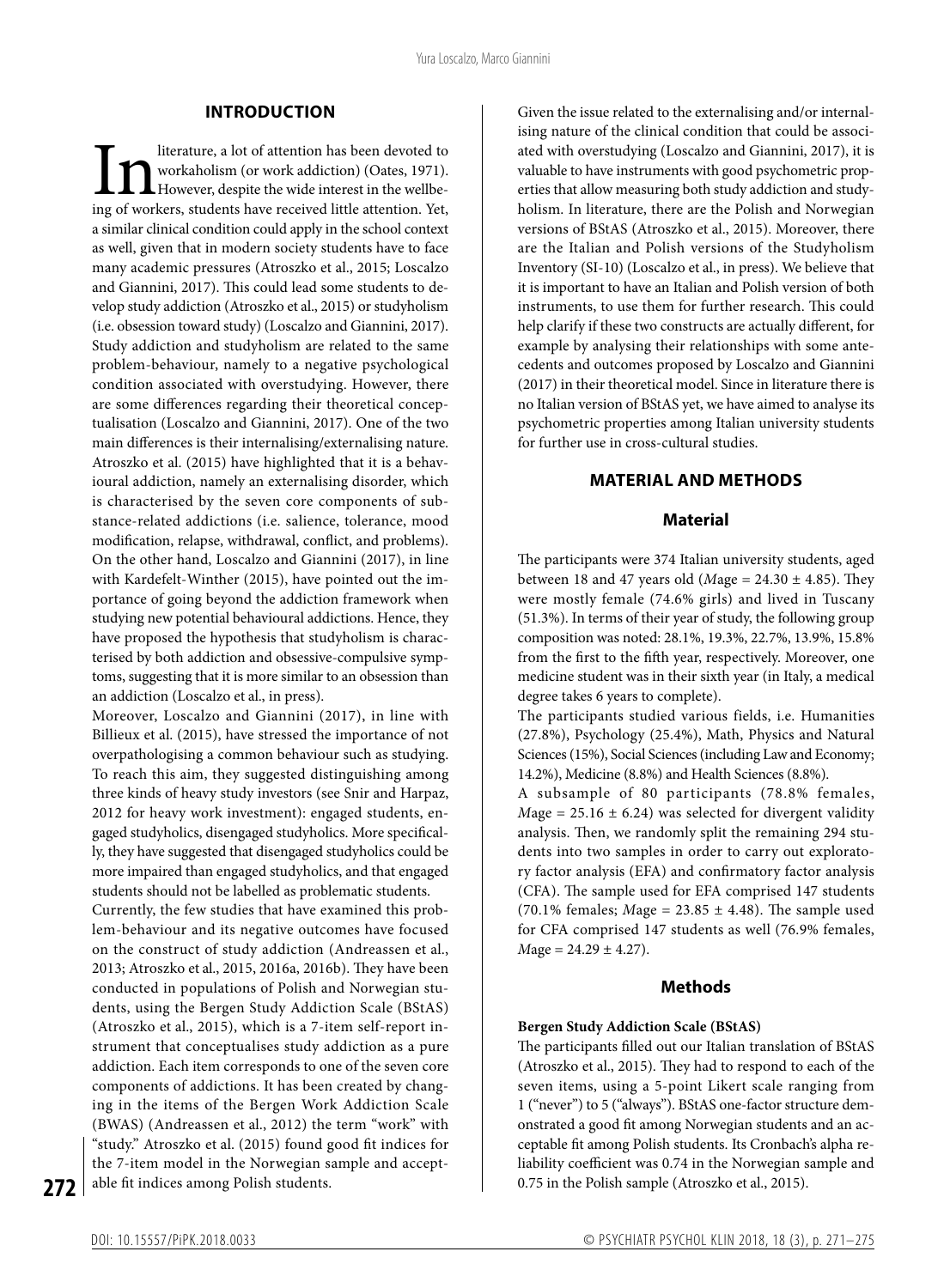#### **INTRODUCTION**

Interature, a lot of attention has been devoted to workaholism (or work addiction) (Oates, 1971).<br>However, despite the wide interest in the wellbeing of workers, students have received little attention. Yet, workaholism (or work addiction) (Oates, 1971). However, despite the wide interest in the wellbea similar clinical condition could apply in the school context as well, given that in modern society students have to face many academic pressures (Atroszko et al., 2015; Loscalzo and Giannini, 2017). This could lead some students to develop study addiction (Atroszko et al., 2015) or studyholism (i.e. obsession toward study) (Loscalzo and Giannini, 2017). Study addiction and studyholism are related to the same problem-behaviour, namely to a negative psychological condition associated with overstudying. However, there are some differences regarding their theoretical conceptualisation (Loscalzo and Giannini, 2017). One of the two main differences is their internalising/externalising nature. Atroszko et al. (2015) have highlighted that it is a behavioural addiction, namely an externalising disorder, which is characterised by the seven core components of substance-related addictions (i.e. salience, tolerance, mood modification, relapse, withdrawal, conflict, and problems). On the other hand, Loscalzo and Giannini (2017), in line with Kardefelt-Winther (2015), have pointed out the importance of going beyond the addiction framework when studying new potential behavioural addictions. Hence, they have proposed the hypothesis that studyholism is characterised by both addiction and obsessive-compulsive symptoms, suggesting that it is more similar to an obsession than an addiction (Loscalzo et al., in press).

Moreover, Loscalzo and Giannini (2017), in line with Billieux et al. (2015), have stressed the importance of not overpathologising a common behaviour such as studying. To reach this aim, they suggested distinguishing among three kinds of heavy study investors (see Snir and Harpaz, 2012 for heavy work investment): engaged students, engaged studyholics, disengaged studyholics. More specifically, they have suggested that disengaged studyholics could be more impaired than engaged studyholics, and that engaged students should not be labelled as problematic students.

Currently, the few studies that have examined this problem-behaviour and its negative outcomes have focused on the construct of study addiction (Andreassen et al., 2013; Atroszko et al., 2015, 2016a, 2016b). They have been conducted in populations of Polish and Norwegian students, using the Bergen Study Addiction Scale (BStAS) (Atroszko et al., 2015), which is a 7-item self-report instrument that conceptualises study addiction as a pure addiction. Each item corresponds to one of the seven core components of addictions. It has been created by changing in the items of the Bergen Work Addiction Scale (BWAS) (Andreassen et al., 2012) the term "work" with "study." Atroszko et al. (2015) found good fit indices for the 7-item model in the Norwegian sample and acceptable fit indices among Polish students.

Given the issue related to the externalising and/or internalising nature of the clinical condition that could be associated with overstudying (Loscalzo and Giannini, 2017), it is valuable to have instruments with good psychometric properties that allow measuring both study addiction and studyholism. In literature, there are the Polish and Norwegian versions of BStAS (Atroszko et al., 2015). Moreover, there are the Italian and Polish versions of the Studyholism Inventory (SI-10) (Loscalzo et al., in press). We believe that it is important to have an Italian and Polish version of both instruments, to use them for further research. This could help clarify if these two constructs are actually different, for example by analysing their relationships with some antecedents and outcomes proposed by Loscalzo and Giannini (2017) in their theoretical model. Since in literature there is no Italian version of BStAS yet, we have aimed to analyse its psychometric properties among Italian university students for further use in cross-cultural studies.

### **MATERIAL AND METHODS**

#### **Material**

The participants were 374 Italian university students, aged between 18 and 47 years old (*M*age = 24.30 ± 4.85). They were mostly female (74.6% girls) and lived in Tuscany (51.3%). In terms of their year of study, the following group composition was noted: 28.1%, 19.3%, 22.7%, 13.9%, 15.8% from the first to the fifth year, respectively. Moreover, one medicine student was in their sixth year (in Italy, a medical degree takes 6 years to complete).

The participants studied various fields, i.e. Humanities (27.8%), Psychology (25.4%), Math, Physics and Natural Sciences (15%), Social Sciences (including Law and Economy; 14.2%), Medicine (8.8%) and Health Sciences (8.8%).

A subsample of 80 participants (78.8% females,  $Mage = 25.16 \pm 6.24$ ) was selected for divergent validity analysis. Then, we randomly split the remaining 294 students into two samples in order to carry out exploratory factor analysis (EFA) and confirmatory factor analysis (CFA). The sample used for EFA comprised 147 students (70.1% females; *M*age = 23.85 ± 4.48). The sample used for CFA comprised 147 students as well (76.9% females, *M*age = 24.29 ± 4.27).

### **Methods**

#### **Bergen Study Addiction Scale (BStAS)**

The participants filled out our Italian translation of BStAS (Atroszko et al., 2015). They had to respond to each of the seven items, using a 5-point Likert scale ranging from 1 ("never") to 5 ("always"). BStAS one-factor structure demonstrated a good fit among Norwegian students and an acceptable fit among Polish students. Its Cronbach's alpha reliability coefficient was 0.74 in the Norwegian sample and 0.75 in the Polish sample (Atroszko et al., 2015).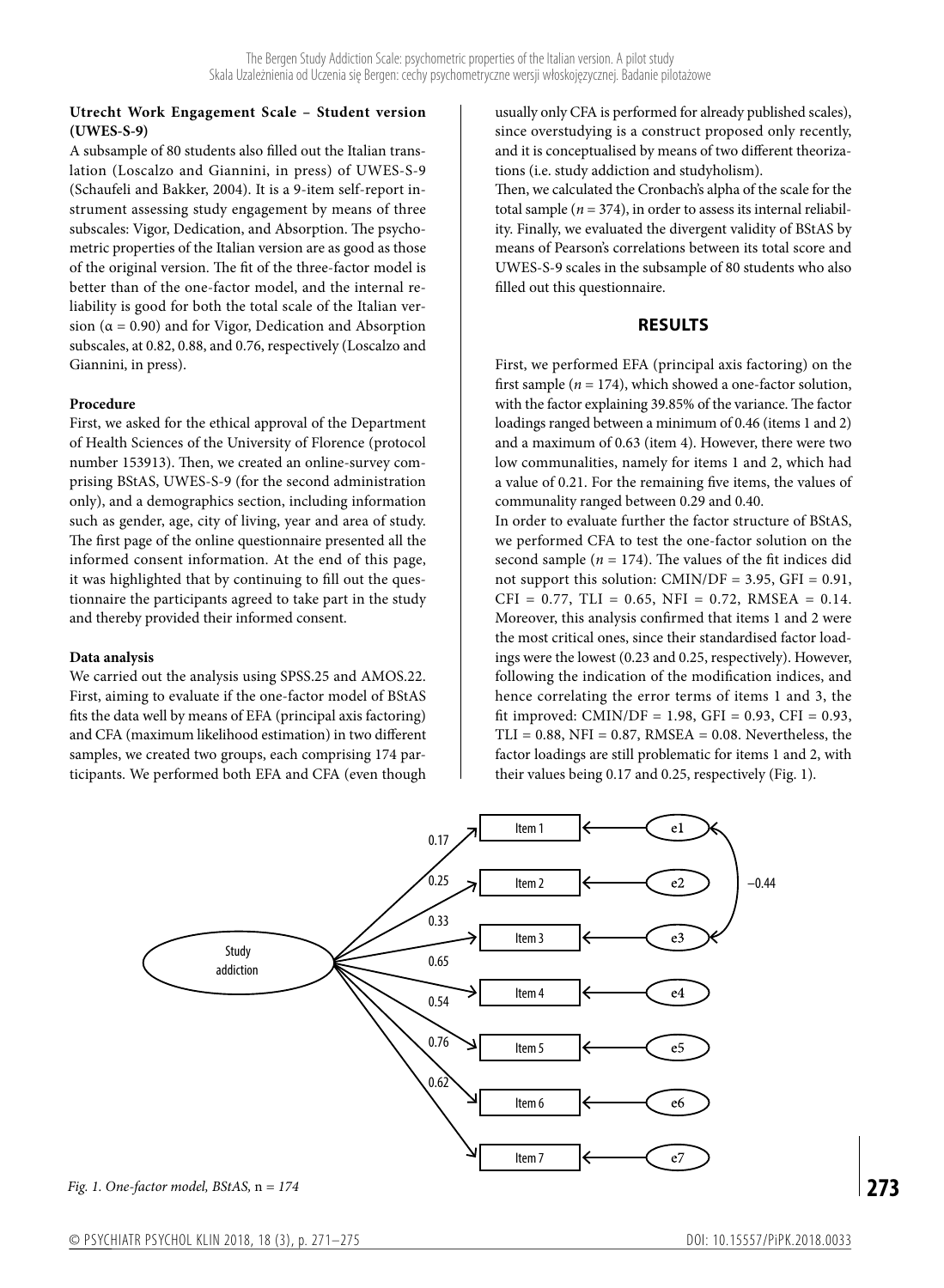## **Utrecht Work Engagement Scale – Student version (UWES-S-9)**

A subsample of 80 students also filled out the Italian translation (Loscalzo and Giannini, in press) of UWES-S-9 (Schaufeli and Bakker, 2004). It is a 9-item self-report instrument assessing study engagement by means of three subscales: Vigor, Dedication, and Absorption. The psychometric properties of the Italian version are as good as those of the original version. The fit of the three-factor model is better than of the one-factor model, and the internal reliability is good for both the total scale of the Italian version ( $\alpha$  = 0.90) and for Vigor, Dedication and Absorption subscales, at 0.82, 0.88, and 0.76, respectively (Loscalzo and Giannini, in press).

### **Procedure**

First, we asked for the ethical approval of the Department of Health Sciences of the University of Florence (protocol number 153913). Then, we created an online-survey comprising BStAS, UWES-S-9 (for the second administration only), and a demographics section, including information such as gender, age, city of living, year and area of study. The first page of the online questionnaire presented all the informed consent information. At the end of this page, it was highlighted that by continuing to fill out the questionnaire the participants agreed to take part in the study and thereby provided their informed consent.

## **Data analysis**

We carried out the analysis using SPSS.25 and AMOS.22. First, aiming to evaluate if the one-factor model of BStAS fits the data well by means of EFA (principal axis factoring) and CFA (maximum likelihood estimation) in two different samples, we created two groups, each comprising 174 participants. We performed both EFA and CFA (even though

usually only CFA is performed for already published scales), since overstudying is a construct proposed only recently, and it is conceptualised by means of two different theorizations (i.e. study addiction and studyholism).

Then, we calculated the Cronbach's alpha of the scale for the total sample  $(n = 374)$ , in order to assess its internal reliability. Finally, we evaluated the divergent validity of BStAS by means of Pearson's correlations between its total score and UWES-S-9 scales in the subsample of 80 students who also filled out this questionnaire.

## **RESULTS**

First, we performed EFA (principal axis factoring) on the first sample ( $n = 174$ ), which showed a one-factor solution, with the factor explaining 39.85% of the variance. The factor loadings ranged between a minimum of 0.46 (items 1 and 2) and a maximum of 0.63 (item 4). However, there were two low communalities, namely for items 1 and 2, which had a value of 0.21. For the remaining five items, the values of communality ranged between 0.29 and 0.40.

In order to evaluate further the factor structure of BStAS, we performed CFA to test the one-factor solution on the second sample ( $n = 174$ ). The values of the fit indices did not support this solution:  $CMIN/DF = 3.95$ ,  $GFI = 0.91$ ,  $CFI = 0.77$ ,  $TLI = 0.65$ ,  $NFI = 0.72$ ,  $RMSEA = 0.14$ . Moreover, this analysis confirmed that items 1 and 2 were the most critical ones, since their standardised factor loadings were the lowest (0.23 and 0.25, respectively). However, following the indication of the modification indices, and hence correlating the error terms of items 1 and 3, the fit improved: CMIN/DF = 1.98, GFI =  $0.93$ , CFI =  $0.93$ ,  $TLI = 0.88$ , NFI = 0.87, RMSEA = 0.08. Nevertheless, the factor loadings are still problematic for items 1 and 2, with their values being 0.17 and 0.25, respectively (Fig. 1).



*Fig. 1. One-factor model, BStAS,* n *= 174*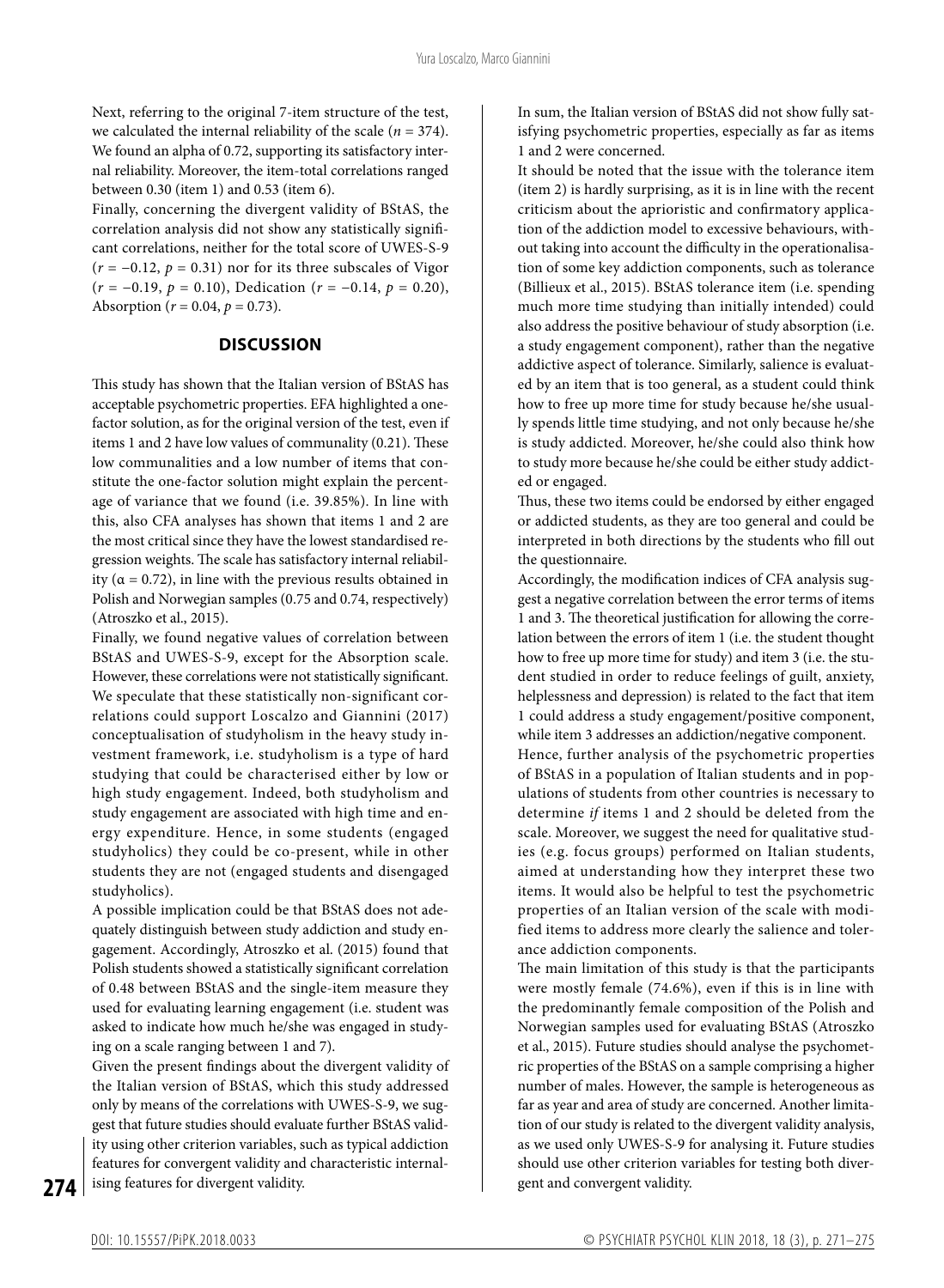Next, referring to the original 7-item structure of the test, we calculated the internal reliability of the scale ( $n = 374$ ). We found an alpha of 0.72, supporting its satisfactory internal reliability. Moreover, the item-total correlations ranged between 0.30 (item 1) and 0.53 (item 6).

Finally, concerning the divergent validity of BStAS, the correlation analysis did not show any statistically significant correlations, neither for the total score of UWES-S-9  $(r = -0.12, p = 0.31)$  nor for its three subscales of Vigor (*r* = −0.19, *p* = 0.10), Dedication (*r* = −0.14, *p* = 0.20), Absorption ( $r = 0.04$ ,  $p = 0.73$ ).

### **DISCUSSION**

This study has shown that the Italian version of BStAS has acceptable psychometric properties. EFA highlighted a onefactor solution, as for the original version of the test, even if items 1 and 2 have low values of communality (0.21). These low communalities and a low number of items that constitute the one-factor solution might explain the percentage of variance that we found (i.e. 39.85%). In line with this, also CFA analyses has shown that items 1 and 2 are the most critical since they have the lowest standardised regression weights. The scale has satisfactory internal reliability ( $\alpha$  = 0.72), in line with the previous results obtained in Polish and Norwegian samples (0.75 and 0.74, respectively) (Atroszko et al., 2015).

Finally, we found negative values of correlation between BStAS and UWES-S-9, except for the Absorption scale. However, these correlations were not statistically significant. We speculate that these statistically non-significant correlations could support Loscalzo and Giannini (2017) conceptualisation of studyholism in the heavy study investment framework, i.e. studyholism is a type of hard studying that could be characterised either by low or high study engagement. Indeed, both studyholism and study engagement are associated with high time and energy expenditure. Hence, in some students (engaged studyholics) they could be co-present, while in other students they are not (engaged students and disengaged studyholics).

A possible implication could be that BStAS does not adequately distinguish between study addiction and study engagement. Accordingly, Atroszko et al. (2015) found that Polish students showed a statistically significant correlation of 0.48 between BStAS and the single-item measure they used for evaluating learning engagement (i.e. student was asked to indicate how much he/she was engaged in studying on a scale ranging between 1 and 7).

Given the present findings about the divergent validity of the Italian version of BStAS, which this study addressed only by means of the correlations with UWES-S-9, we suggest that future studies should evaluate further BStAS validity using other criterion variables, such as typical addiction features for convergent validity and characteristic internalising features for divergent validity.

In sum, the Italian version of BStAS did not show fully satisfying psychometric properties, especially as far as items 1 and 2 were concerned.

It should be noted that the issue with the tolerance item (item 2) is hardly surprising, as it is in line with the recent criticism about the aprioristic and confirmatory application of the addiction model to excessive behaviours, without taking into account the difficulty in the operationalisation of some key addiction components, such as tolerance (Billieux et al., 2015). BStAS tolerance item (i.e. spending much more time studying than initially intended) could also address the positive behaviour of study absorption (i.e. a study engagement component), rather than the negative addictive aspect of tolerance. Similarly, salience is evaluated by an item that is too general, as a student could think how to free up more time for study because he/she usually spends little time studying, and not only because he/she is study addicted. Moreover, he/she could also think how to study more because he/she could be either study addicted or engaged.

Thus, these two items could be endorsed by either engaged or addicted students, as they are too general and could be interpreted in both directions by the students who fill out the questionnaire.

Accordingly, the modification indices of CFA analysis suggest a negative correlation between the error terms of items 1 and 3. The theoretical justification for allowing the correlation between the errors of item 1 (i.e. the student thought how to free up more time for study) and item 3 (i.e. the student studied in order to reduce feelings of guilt, anxiety, helplessness and depression) is related to the fact that item 1 could address a study engagement/positive component, while item 3 addresses an addiction/negative component. Hence, further analysis of the psychometric properties of BStAS in a population of Italian students and in populations of students from other countries is necessary to determine *if* items 1 and 2 should be deleted from the scale. Moreover, we suggest the need for qualitative studies (e.g. focus groups) performed on Italian students, aimed at understanding how they interpret these two items. It would also be helpful to test the psychometric properties of an Italian version of the scale with modified items to address more clearly the salience and tolerance addiction components.

The main limitation of this study is that the participants were mostly female (74.6%), even if this is in line with the predominantly female composition of the Polish and Norwegian samples used for evaluating BStAS (Atroszko et al., 2015). Future studies should analyse the psychometric properties of the BStAS on a sample comprising a higher number of males. However, the sample is heterogeneous as far as year and area of study are concerned. Another limitation of our study is related to the divergent validity analysis, as we used only UWES-S-9 for analysing it. Future studies should use other criterion variables for testing both divergent and convergent validity.